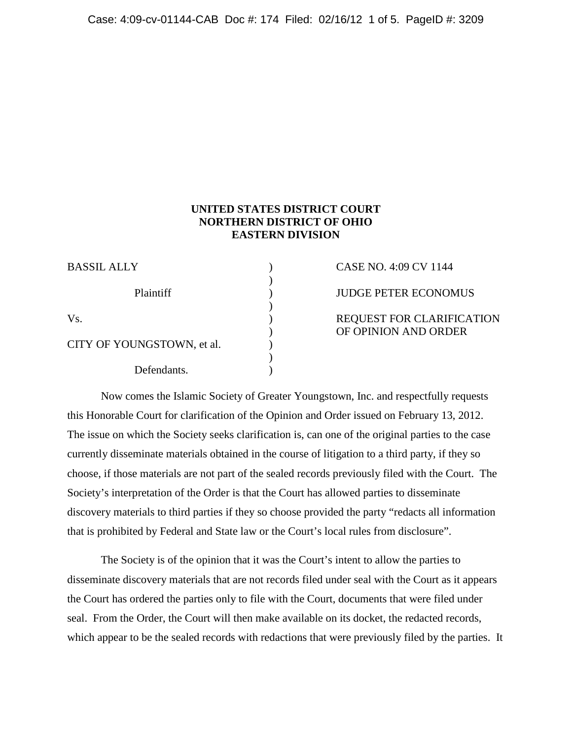## **UNITED STATES DISTRICT COURT NORTHERN DISTRICT OF OHIO EASTERN DIVISION**

)

)<br>)<br>)

| <b>BASSIL ALLY</b>         |  |
|----------------------------|--|
| Plaintiff                  |  |
| Vs.                        |  |
| CITY OF YOUNGSTOWN, et al. |  |
| Defendants.                |  |

## CASE NO. 4:09 CV 1144 JUDGE PETER ECONOMUS REQUEST FOR CLARIFICATION ) OF OPINION AND ORDER

Now comes the Islamic Society of Greater Youngstown, Inc. and respectfully requests this Honorable Court for clarification of the Opinion and Order issued on February 13, 2012. The issue on which the Society seeks clarification is, can one of the original parties to the case currently disseminate materials obtained in the course of litigation to a third party, if they so choose, if those materials are not part of the sealed records previously filed with the Court. The Society's interpretation of the Order is that the Court has allowed parties to disseminate discovery materials to third parties if they so choose provided the party "redacts all information that is prohibited by Federal and State law or the Court's local rules from disclosure".

The Society is of the opinion that it was the Court's intent to allow the parties to disseminate discovery materials that are not records filed under seal with the Court as it appears the Court has ordered the parties only to file with the Court, documents that were filed under seal. From the Order, the Court will then make available on its docket, the redacted records, which appear to be the sealed records with redactions that were previously filed by the parties. It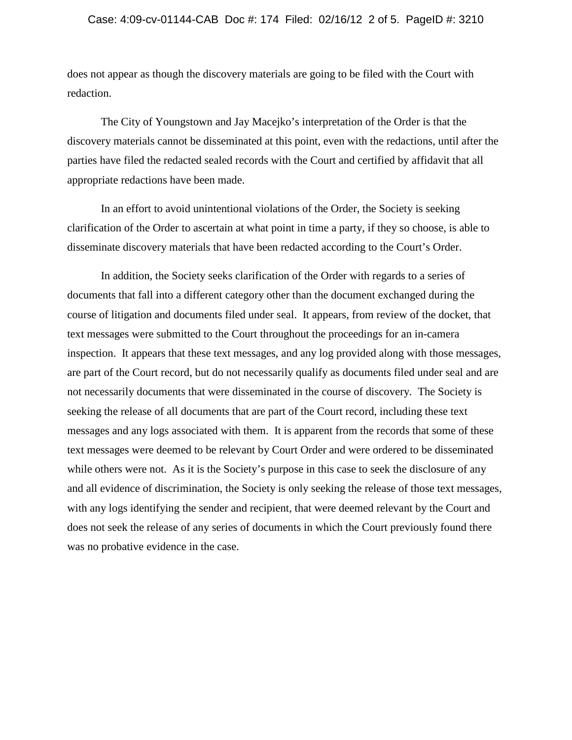## Case: 4:09-cv-01144-CAB Doc #: 174 Filed: 02/16/12 2 of 5. PageID #: 3210

does not appear as though the discovery materials are going to be filed with the Court with redaction.

The City of Youngstown and Jay Macejko's interpretation of the Order is that the discovery materials cannot be disseminated at this point, even with the redactions, until after the parties have filed the redacted sealed records with the Court and certified by affidavit that all appropriate redactions have been made.

In an effort to avoid unintentional violations of the Order, the Society is seeking clarification of the Order to ascertain at what point in time a party, if they so choose, is able to disseminate discovery materials that have been redacted according to the Court's Order.

In addition, the Society seeks clarification of the Order with regards to a series of documents that fall into a different category other than the document exchanged during the course of litigation and documents filed under seal. It appears, from review of the docket, that text messages were submitted to the Court throughout the proceedings for an in-camera inspection. It appears that these text messages, and any log provided along with those messages, are part of the Court record, but do not necessarily qualify as documents filed under seal and are not necessarily documents that were disseminated in the course of discovery. The Society is seeking the release of all documents that are part of the Court record, including these text messages and any logs associated with them. It is apparent from the records that some of these text messages were deemed to be relevant by Court Order and were ordered to be disseminated while others were not. As it is the Society's purpose in this case to seek the disclosure of any and all evidence of discrimination, the Society is only seeking the release of those text messages, with any logs identifying the sender and recipient, that were deemed relevant by the Court and does not seek the release of any series of documents in which the Court previously found there was no probative evidence in the case.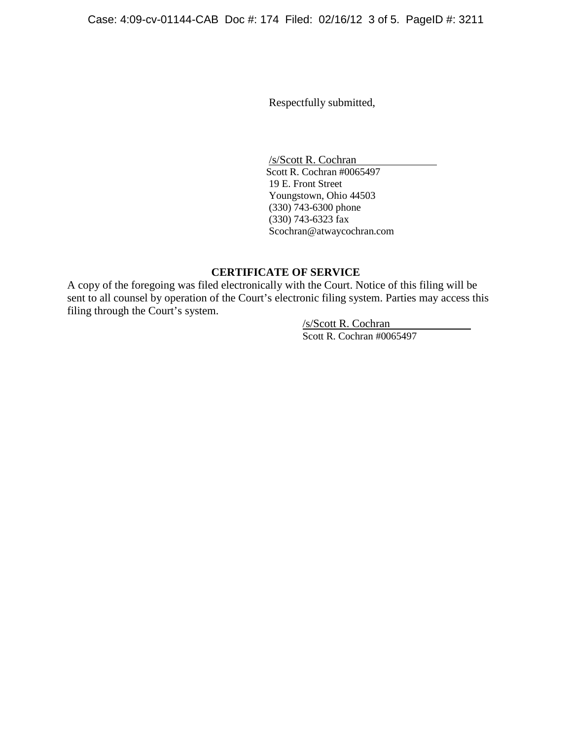Respectfully submitted,

/s/Scott R. Cochran Scott R. Cochran #0065497 19 E. Front Street Youngstown, Ohio 44503 (330) 743-6300 phone (330) 743-6323 fax Scochran@atwaycochran.com

## **CERTIFICATE OF SERVICE**

A copy of the foregoing was filed electronically with the Court. Notice of this filing will be sent to all counsel by operation of the Court's electronic filing system. Parties may access this filing through the Court's system.

> /s/Scott R. Cochran Scott R. Cochran #0065497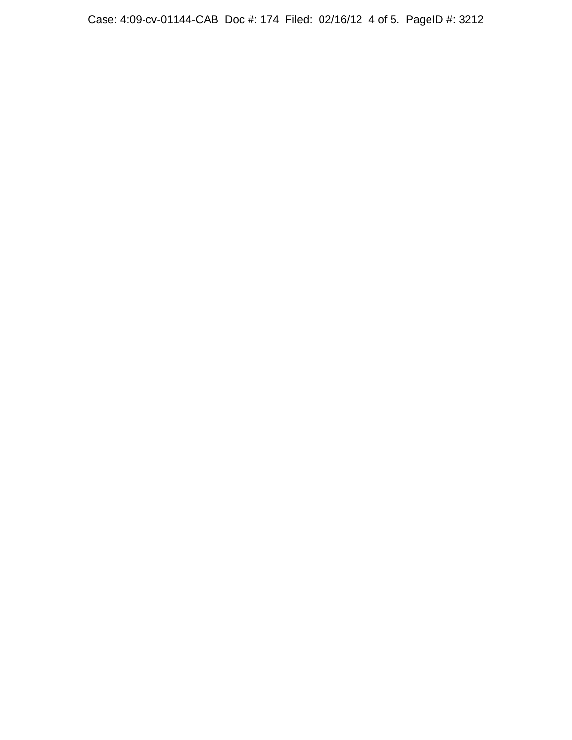Case: 4:09-cv-01144-CAB Doc #: 174 Filed: 02/16/12 4 of 5. PageID #: 3212